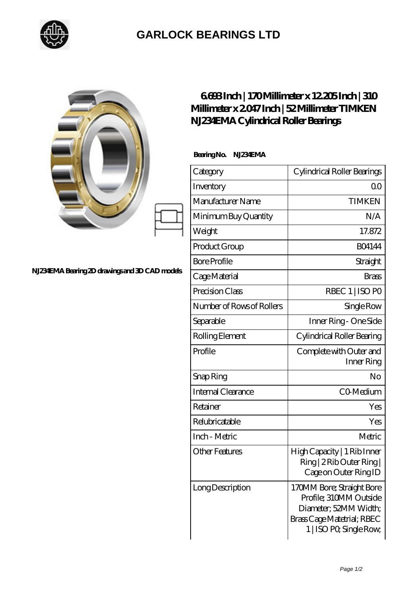

## **[GARLOCK BEARINGS LTD](https://m.letterstopriests.com)**

|                                                 | 6688Inch   170Millimeter x 12205Inch   310<br>Millimeter x 2047 Inch   52 Millimeter TIMKEN<br>N.IZ34EMA Cylindrical Roller Bearings |                                                                                                                                       |
|-------------------------------------------------|--------------------------------------------------------------------------------------------------------------------------------------|---------------------------------------------------------------------------------------------------------------------------------------|
| N.I234EMA Bearing 2D drawings and 3D CAD models | BearingNo.<br>N.234EMA                                                                                                               |                                                                                                                                       |
|                                                 | Category                                                                                                                             | Cylindrical Roller Bearings                                                                                                           |
|                                                 | Inventory                                                                                                                            | 0 <sub>0</sub>                                                                                                                        |
|                                                 | Manufacturer Name                                                                                                                    | <b>TIMKEN</b>                                                                                                                         |
|                                                 | Minimum Buy Quantity                                                                                                                 | N/A                                                                                                                                   |
|                                                 | Weight                                                                                                                               | 17.872                                                                                                                                |
|                                                 | Product Group                                                                                                                        | <b>BO4144</b>                                                                                                                         |
|                                                 | <b>Bore Profile</b>                                                                                                                  | Straight                                                                                                                              |
|                                                 | Cage Material                                                                                                                        | <b>Brass</b>                                                                                                                          |
|                                                 | Precision Class                                                                                                                      | RBEC 1   ISO PO                                                                                                                       |
|                                                 | Number of Rows of Rollers                                                                                                            | Single Row                                                                                                                            |
|                                                 | Separable                                                                                                                            | Inner Ring - One Side                                                                                                                 |
|                                                 | Rolling Element                                                                                                                      | Cylindrical Roller Bearing                                                                                                            |
|                                                 | Profile                                                                                                                              | Complete with Outer and<br>Inner Ring                                                                                                 |
|                                                 | Snap Ring                                                                                                                            | No                                                                                                                                    |
|                                                 | Internal Clearance                                                                                                                   | CO-Medium                                                                                                                             |
|                                                 | Retainer                                                                                                                             | Yes                                                                                                                                   |
|                                                 | Relubricatable                                                                                                                       | Yes                                                                                                                                   |
|                                                 | Inch - Metric                                                                                                                        | Metric                                                                                                                                |
|                                                 | <b>Other Features</b>                                                                                                                | High Capacity   1 Rib Inner<br>Ring   2 Rib Outer Ring  <br>Cage on Outer Ring ID                                                     |
|                                                 | Long Description                                                                                                                     | 170MM Bore; Straight Bore<br>Profile; 310MM Outside<br>Diameter; 52MM Width;<br>Brass Cage Matetrial; RBEC<br>1   ISO PO, Single Row, |